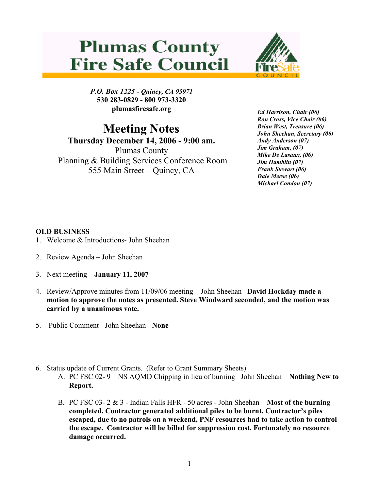## **Plumas County Fire Safe Council**



P.O. Box 1225 - Quincy, CA 95971 530 283-0829 - 800 973-3320 plumasfiresafe.org

## Meeting Notes

Thursday December 14, 2006 - 9:00 am. Plumas County Planning & Building Services Conference Room 555 Main Street – Quincy, CA

Ed Harrison, Chair (06) Ron Cross, Vice Chair (06) Brian West, Treasure (06) John Sheehan, Secretary (06) Andy Anderson (07) Jim Graham, (07) Mike De Lasaux, (06) Jim Hamblin (07) Frank Stewart (06) Dale Meese (06) Michael Condon (07)

## OLD BUSINESS

- 1. Welcome & Introductions- John Sheehan
- 2. Review Agenda John Sheehan
- 3. Next meeting January 11, 2007
- 4. Review/Approve minutes from 11/09/06 meeting John Sheehan –David Hockday made a motion to approve the notes as presented. Steve Windward seconded, and the motion was carried by a unanimous vote.
- 5. Public Comment John Sheehan None
- 6. Status update of Current Grants. (Refer to Grant Summary Sheets)
	- A. PC FSC 02- 9 NS AQMD Chipping in lieu of burning –John Sheehan Nothing New to Report.
	- B. PC FSC 03-  $2 \& 3$  Indian Falls HFR 50 acres John Sheehan **Most of the burning** completed. Contractor generated additional piles to be burnt. Contractor's piles escaped, due to no patrols on a weekend, PNF resources had to take action to control the escape. Contractor will be billed for suppression cost. Fortunately no resource damage occurred.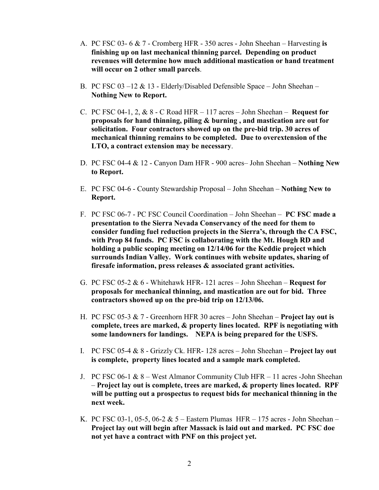- A. PC FSC 03- 6 & 7 Cromberg HFR 350 acres John Sheehan Harvesting is finishing up on last mechanical thinning parcel. Depending on product revenues will determine how much additional mastication or hand treatment will occur on 2 other small parcels.
- B. PC FSC 03 –12 & 13 Elderly/Disabled Defensible Space John Sheehan Nothing New to Report.
- C. PC FSC 04-1, 2,  $& 8$  C Road HFR 117 acres John Sheehan Request for proposals for hand thinning, piling & burning , and mastication are out for solicitation. Four contractors showed up on the pre-bid trip. 30 acres of mechanical thinning remains to be completed. Due to overextension of the LTO, a contract extension may be necessary.
- D. PC FSC 04-4 & 12 Canyon Dam HFR 900 acres– John Sheehan Nothing New to Report.
- E. PC FSC 04-6 County Stewardship Proposal John Sheehan Nothing New to Report.
- F. PC FSC 06-7 PC FSC Council Coordination John Sheehan PC FSC made a presentation to the Sierra Nevada Conservancy of the need for them to consider funding fuel reduction projects in the Sierra's, through the CA FSC, with Prop 84 funds. PC FSC is collaborating with the Mt. Hough RD and holding a public scoping meeting on 12/14/06 for the Keddie project which surrounds Indian Valley. Work continues with website updates, sharing of firesafe information, press releases & associated grant activities.
- G. PC FSC 05-2  $& 6$  Whitehawk HFR- 121 acres John Sheehan Request for proposals for mechanical thinning, and mastication are out for bid. Three contractors showed up on the pre-bid trip on 12/13/06.
- H. PC FSC 05-3  $& 7$  Greenhorn HFR 30 acres John Sheehan Project lay out is complete, trees are marked, & property lines located. RPF is negotiating with some landowners for landings. NEPA is being prepared for the USFS.
- I. PC FSC 05-4  $& 8$  Grizzly Ck. HFR- 128 acres John Sheehan Project lay out is complete, property lines located and a sample mark completed.
- J. PC FSC 06-1  $\&$  8 West Almanor Community Club HFR 11 acres -John Sheehan – Project lay out is complete, trees are marked, & property lines located. RPF will be putting out a prospectus to request bids for mechanical thinning in the next week.
- K. PC FSC 03-1, 05-5, 06-2  $& 5$  Eastern Plumas HFR 175 acres John Sheehan Project lay out will begin after Massack is laid out and marked. PC FSC doe not yet have a contract with PNF on this project yet.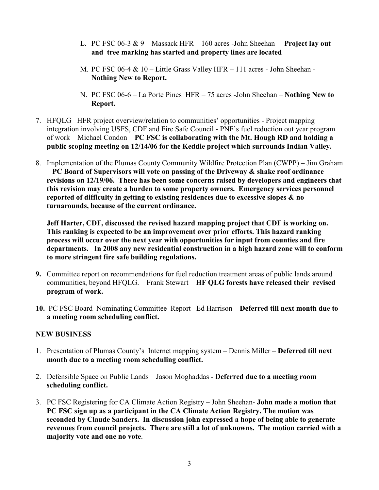- L. PC FSC 06-3  $& 9$  Massack HFR 160 acres -John Sheehan Project lay out and tree marking has started and property lines are located
- M. PC FSC 06-4 & 10 Little Grass Valley HFR 111 acres John Sheehan Nothing New to Report.
- N. PC FSC 06-6 La Porte Pines HFR 75 acres -John Sheehan Nothing New to Report.
- 7. HFQLG –HFR project overview/relation to communities' opportunities Project mapping integration involving USFS, CDF and Fire Safe Council - PNF's fuel reduction out year program of work – Michael Condon – PC FSC is collaborating with the Mt. Hough RD and holding a public scoping meeting on 12/14/06 for the Keddie project which surrounds Indian Valley.
- 8. Implementation of the Plumas County Community Wildfire Protection Plan (CWPP) Jim Graham  $-PC$  Board of Supervisors will vote on passing of the Driveway & shake roof ordinance revisions on 12/19/06. There has been some concerns raised by developers and engineers that this revision may create a burden to some property owners. Emergency services personnel reported of difficulty in getting to existing residences due to excessive slopes & no turnarounds, because of the current ordinance.

Jeff Harter, CDF, discussed the revised hazard mapping project that CDF is working on. This ranking is expected to be an improvement over prior efforts. This hazard ranking process will occur over the next year with opportunities for input from counties and fire departments. In 2008 any new residential construction in a high hazard zone will to conform to more stringent fire safe building regulations.

- 9. Committee report on recommendations for fuel reduction treatment areas of public lands around communities, beyond HFQLG. – Frank Stewart – HF QLG forests have released their revised program of work.
- 10. PC FSC Board Nominating Committee Report– Ed Harrison Deferred till next month due to a meeting room scheduling conflict.

## NEW BUSINESS

- 1. Presentation of Plumas County's Internet mapping system Dennis Miller Deferred till next month due to a meeting room scheduling conflict.
- 2. Defensible Space on Public Lands Jason Moghaddas Deferred due to a meeting room scheduling conflict.
- 3. PC FSC Registering for CA Climate Action Registry John Sheehan- John made a motion that PC FSC sign up as a participant in the CA Climate Action Registry. The motion was seconded by Claude Sanders. In discussion john expressed a hope of being able to generate revenues from council projects. There are still a lot of unknowns. The motion carried with a majority vote and one no vote.